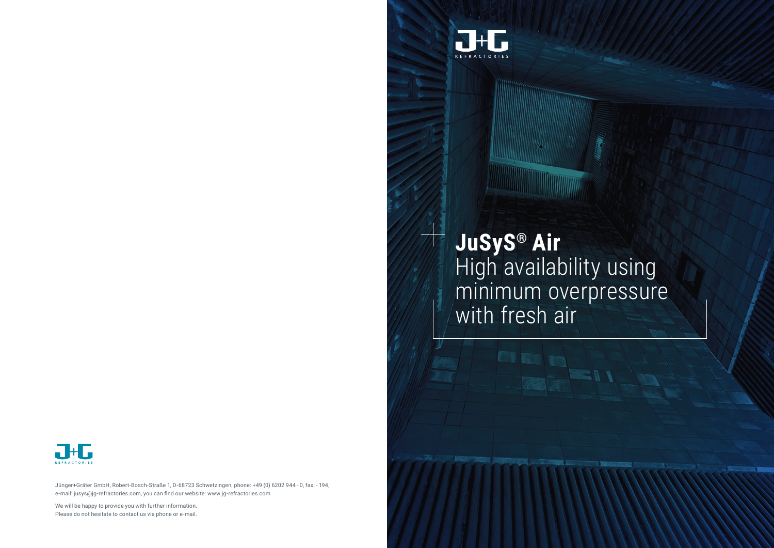Jünger+Gräter GmbH, Robert-Bosch-Straße 1, D-68723 Schwetzingen, phone: +49 (0) 6202 944 - 0, fax: - 194, e-mail: jusys@jg-refractories.com, you can find our website: www.jg-refractories.com

We will be happy to provide you with further information. Please do not hesitate to contact us via phone or e-mail.



## **JuSyS® Air** High availability using minimum overpressure with fresh air